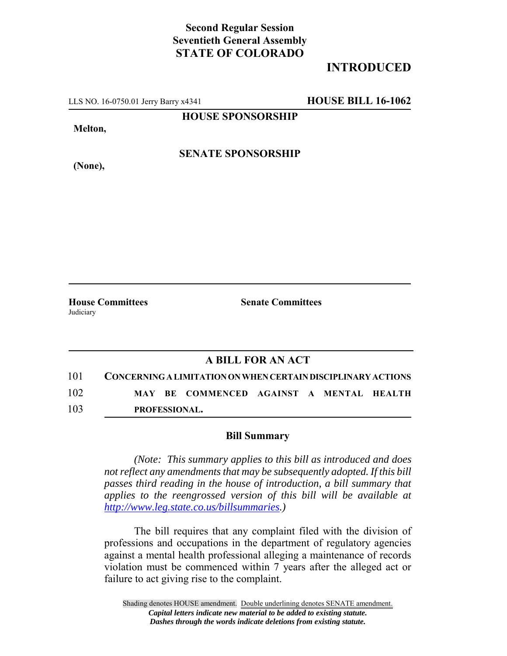## **Second Regular Session Seventieth General Assembly STATE OF COLORADO**

## **INTRODUCED**

LLS NO. 16-0750.01 Jerry Barry x4341 **HOUSE BILL 16-1062**

**HOUSE SPONSORSHIP**

**Melton,**

**(None),**

**SENATE SPONSORSHIP**

Judiciary

**House Committees Senate Committees** 

## **A BILL FOR AN ACT**

101 **CONCERNING A LIMITATION ON WHEN CERTAIN DISCIPLINARY ACTIONS** 102 **MAY BE COMMENCED AGAINST A MENTAL HEALTH** 103 **PROFESSIONAL.**

## **Bill Summary**

*(Note: This summary applies to this bill as introduced and does not reflect any amendments that may be subsequently adopted. If this bill passes third reading in the house of introduction, a bill summary that applies to the reengrossed version of this bill will be available at http://www.leg.state.co.us/billsummaries.)*

The bill requires that any complaint filed with the division of professions and occupations in the department of regulatory agencies against a mental health professional alleging a maintenance of records violation must be commenced within 7 years after the alleged act or failure to act giving rise to the complaint.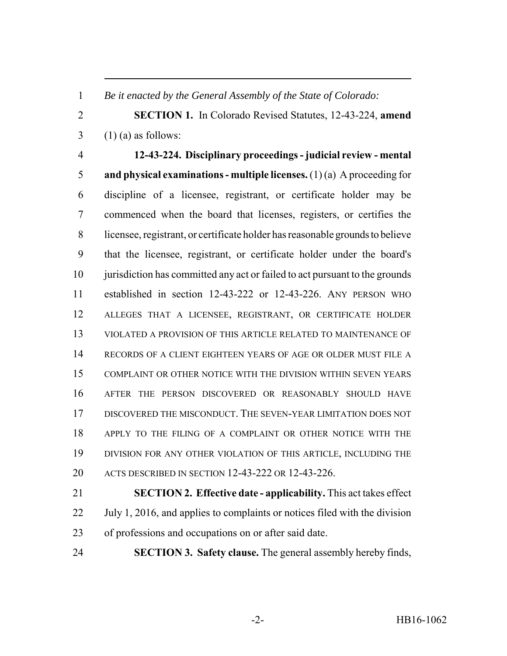*Be it enacted by the General Assembly of the State of Colorado:*

 **SECTION 1.** In Colorado Revised Statutes, 12-43-224, **amend**  $3 \quad (1)$  (a) as follows:

 **12-43-224. Disciplinary proceedings - judicial review - mental and physical examinations - multiple licenses.** (1) (a) A proceeding for discipline of a licensee, registrant, or certificate holder may be commenced when the board that licenses, registers, or certifies the licensee, registrant, or certificate holder has reasonable grounds to believe that the licensee, registrant, or certificate holder under the board's 10 jurisdiction has committed any act or failed to act pursuant to the grounds established in section 12-43-222 or 12-43-226. ANY PERSON WHO ALLEGES THAT A LICENSEE, REGISTRANT, OR CERTIFICATE HOLDER VIOLATED A PROVISION OF THIS ARTICLE RELATED TO MAINTENANCE OF RECORDS OF A CLIENT EIGHTEEN YEARS OF AGE OR OLDER MUST FILE A COMPLAINT OR OTHER NOTICE WITH THE DIVISION WITHIN SEVEN YEARS AFTER THE PERSON DISCOVERED OR REASONABLY SHOULD HAVE DISCOVERED THE MISCONDUCT. THE SEVEN-YEAR LIMITATION DOES NOT APPLY TO THE FILING OF A COMPLAINT OR OTHER NOTICE WITH THE DIVISION FOR ANY OTHER VIOLATION OF THIS ARTICLE, INCLUDING THE ACTS DESCRIBED IN SECTION 12-43-222 OR 12-43-226.

 **SECTION 2. Effective date - applicability.** This act takes effect July 1, 2016, and applies to complaints or notices filed with the division of professions and occupations on or after said date.

**SECTION 3. Safety clause.** The general assembly hereby finds,